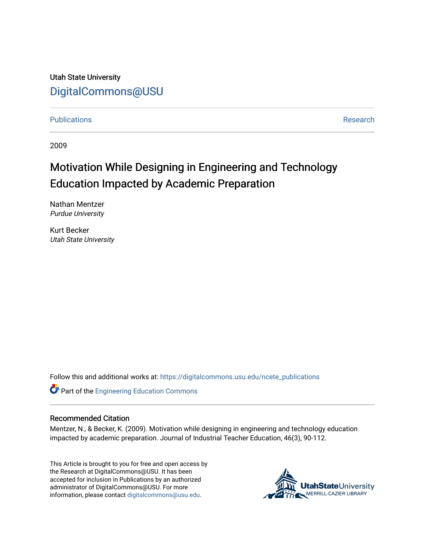Utah State University [DigitalCommons@USU](https://digitalcommons.usu.edu/)

[Publications](https://digitalcommons.usu.edu/ncete_publications) **Research** 

2009

# Motivation While Designing in Engineering and Technology Education Impacted by Academic Preparation

Nathan Mentzer Purdue University

Kurt Becker Utah State University

Follow this and additional works at: [https://digitalcommons.usu.edu/ncete\\_publications](https://digitalcommons.usu.edu/ncete_publications?utm_source=digitalcommons.usu.edu%2Fncete_publications%2F55&utm_medium=PDF&utm_campaign=PDFCoverPages) 

Part of the [Engineering Education Commons](http://network.bepress.com/hgg/discipline/1191?utm_source=digitalcommons.usu.edu%2Fncete_publications%2F55&utm_medium=PDF&utm_campaign=PDFCoverPages) 

#### Recommended Citation

Mentzer, N., & Becker, K. (2009). Motivation while designing in engineering and technology education impacted by academic preparation. Journal of Industrial Teacher Education, 46(3), 90-112.

This Article is brought to you for free and open access by the Research at DigitalCommons@USU. It has been accepted for inclusion in Publications by an authorized administrator of DigitalCommons@USU. For more information, please contact [digitalcommons@usu.edu](mailto:digitalcommons@usu.edu).

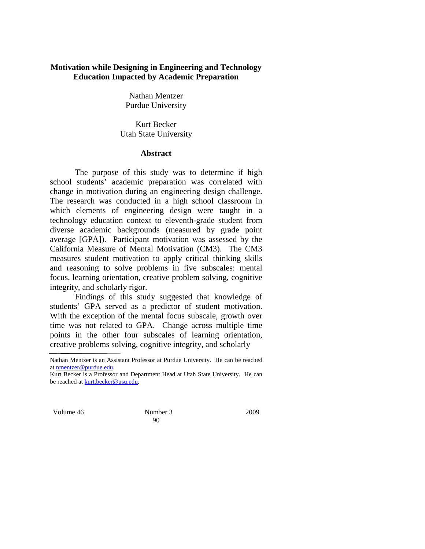# **Motivation while Designing in Engineering and Technology Education Impacted by Academic Preparation**

Nathan Mentzer Purdue University

Kurt Becker Utah State University

#### **Abstract**

The purpose of this study was to determine if high school students' academic preparation was correlated with change in motivation during an engineering design challenge. The research was conducted in a high school classroom in which elements of engineering design were taught in a technology education context to eleventh-grade student from diverse academic backgrounds (measured by grade point average [GPA]). Participant motivation was assessed by the California Measure of Mental Motivation (CM3). The CM3 measures student motivation to apply critical thinking skills and reasoning to solve problems in five subscales: mental focus, learning orientation, creative problem solving, cognitive integrity, and scholarly rigor.

Findings of this study suggested that knowledge of students' GPA served as a predictor of student motivation. With the exception of the mental focus subscale, growth over time was not related to GPA. Change across multiple time points in the other four subscales of learning orientation, creative problems solving, cognitive integrity, and scholarly

Volume 46 Number 3 2009

90

Nathan Mentzer is an Assistant Professor at Purdue University. He can be reached a[t nmentzer@purdue.edu.](mailto:nmentzer@purdue.edu)

Kurt Becker is a Professor and Department Head at Utah State University. He can be reached at **kurt.becker@usu.edu**.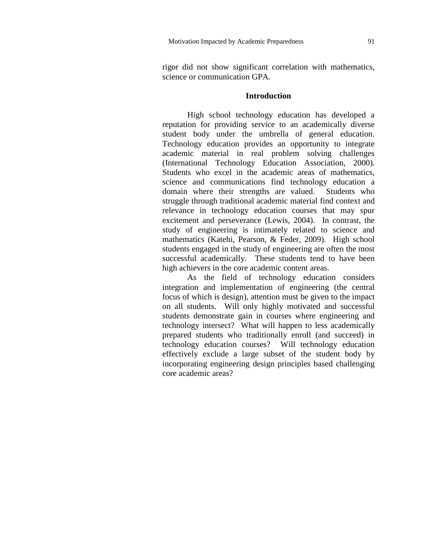rigor did not show significant correlation with mathematics, science or communication GPA.

# **Introduction**

High school technology education has developed a reputation for providing service to an academically diverse student body under the umbrella of general education. Technology education provides an opportunity to integrate academic material in real problem solving challenges (International Technology Education Association, 2000). Students who excel in the academic areas of mathematics, science and communications find technology education a domain where their strengths are valued. Students who struggle through traditional academic material find context and relevance in technology education courses that may spur excitement and perseverance (Lewis, 2004). In contrast, the study of engineering is intimately related to science and mathematics (Katehi, Pearson, & Feder, 2009). High school students engaged in the study of engineering are often the most successful academically. These students tend to have been high achievers in the core academic content areas.

As the field of technology education considers integration and implementation of engineering (the central focus of which is design), attention must be given to the impact on all students. Will only highly motivated and successful students demonstrate gain in courses where engineering and technology intersect? What will happen to less academically prepared students who traditionally enroll (and succeed) in technology education courses? Will technology education effectively exclude a large subset of the student body by incorporating engineering design principles based challenging core academic areas?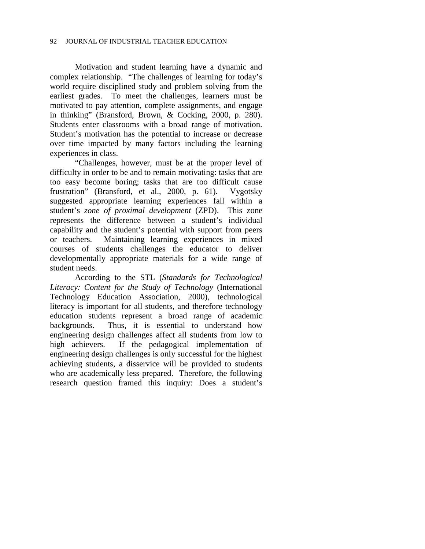Motivation and student learning have a dynamic and complex relationship. "The challenges of learning for today's world require disciplined study and problem solving from the earliest grades. To meet the challenges, learners must be motivated to pay attention, complete assignments, and engage in thinking" (Bransford, Brown, & Cocking, 2000, p. 280). Students enter classrooms with a broad range of motivation. Student's motivation has the potential to increase or decrease over time impacted by many factors including the learning experiences in class.

"Challenges, however, must be at the proper level of difficulty in order to be and to remain motivating: tasks that are too easy become boring; tasks that are too difficult cause frustration" (Bransford, et al., 2000, p. 61). Vygotsky suggested appropriate learning experiences fall within a student's *zone of proximal development* (ZPD). This zone represents the difference between a student's individual capability and the student's potential with support from peers or teachers. Maintaining learning experiences in mixed courses of students challenges the educator to deliver developmentally appropriate materials for a wide range of student needs.

According to the STL (*Standards for Technological Literacy: Content for the Study of Technology* (International Technology Education Association, 2000), technological literacy is important for all students, and therefore technology education students represent a broad range of academic backgrounds. Thus, it is essential to understand how engineering design challenges affect all students from low to high achievers. If the pedagogical implementation of engineering design challenges is only successful for the highest achieving students, a disservice will be provided to students who are academically less prepared. Therefore, the following research question framed this inquiry: Does a student's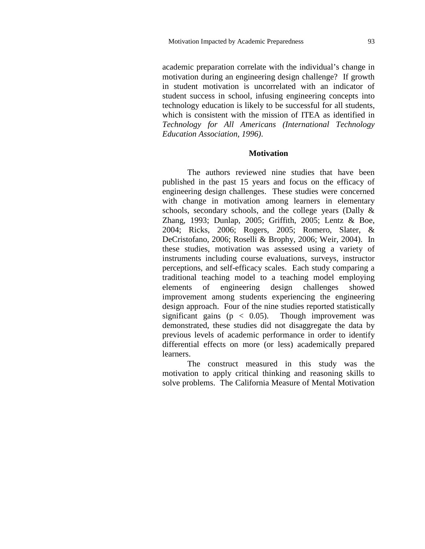academic preparation correlate with the individual's change in motivation during an engineering design challenge? If growth in student motivation is uncorrelated with an indicator of student success in school, infusing engineering concepts into technology education is likely to be successful for all students, which is consistent with the mission of ITEA as identified in *Technology for All Americans (International Technology Education Association, 1996)*.

# **Motivation**

The authors reviewed nine studies that have been published in the past 15 years and focus on the efficacy of engineering design challenges. These studies were concerned with change in motivation among learners in elementary schools, secondary schools, and the college years (Dally & Zhang, 1993; Dunlap, 2005; Griffith, 2005; Lentz & Boe, 2004; Ricks, 2006; Rogers, 2005; Romero, Slater, & DeCristofano, 2006; Roselli & Brophy, 2006; Weir, 2004). In these studies, motivation was assessed using a variety of instruments including course evaluations, surveys, instructor perceptions, and self-efficacy scales. Each study comparing a traditional teaching model to a teaching model employing elements of engineering design challenges showed improvement among students experiencing the engineering design approach. Four of the nine studies reported statistically significant gains ( $p < 0.05$ ). Though improvement was demonstrated, these studies did not disaggregate the data by previous levels of academic performance in order to identify differential effects on more (or less) academically prepared learners.

The construct measured in this study was the motivation to apply critical thinking and reasoning skills to solve problems. The California Measure of Mental Motivation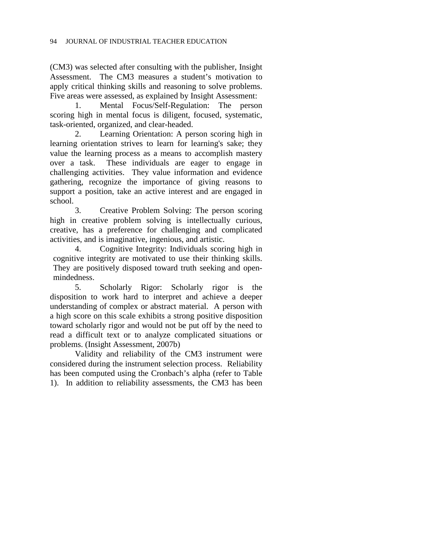(CM3) was selected after consulting with the publisher, Insight Assessment. The CM3 measures a student's motivation to apply critical thinking skills and reasoning to solve problems. Five areas were assessed, as explained by Insight Assessment:

1. Mental Focus/Self-Regulation: The person scoring high in mental focus is diligent, focused, systematic, task-oriented, organized, and clear-headed.

2. Learning Orientation: A person scoring high in learning orientation strives to learn for learning's sake; they value the learning process as a means to accomplish mastery over a task. These individuals are eager to engage in challenging activities. They value information and evidence gathering, recognize the importance of giving reasons to support a position, take an active interest and are engaged in school.

3. Creative Problem Solving: The person scoring high in creative problem solving is intellectually curious, creative, has a preference for challenging and complicated activities, and is imaginative, ingenious, and artistic.

4. Cognitive Integrity: Individuals scoring high in cognitive integrity are motivated to use their thinking skills. They are positively disposed toward truth seeking and openmindedness.

5. Scholarly Rigor: Scholarly rigor is the disposition to work hard to interpret and achieve a deeper understanding of complex or abstract material. A person with a high score on this scale exhibits a strong positive disposition toward scholarly rigor and would not be put off by the need to read a difficult text or to analyze complicated situations or problems. (Insight Assessment, 2007b)

Validity and reliability of the CM3 instrument were considered during the instrument selection process. Reliability has been computed using the Cronbach's alpha (refer to Table 1). In addition to reliability assessments, the CM3 has been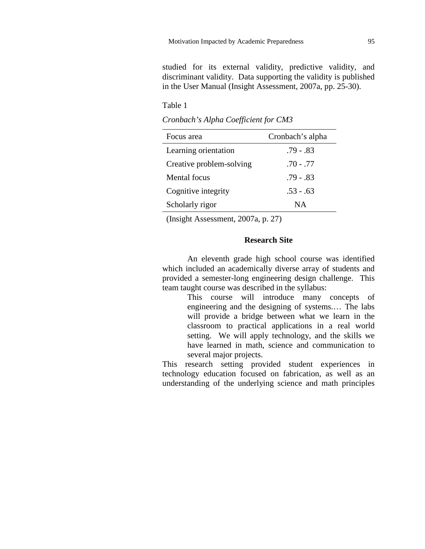studied for its external validity, predictive validity, and discriminant validity. Data supporting the validity is published in the User Manual (Insight Assessment, 2007a, pp. 25-30).

#### Table 1

*Cronbach's Alpha Coefficient for CM3*

| Focus area               | Cronbach's alpha |
|--------------------------|------------------|
| Learning orientation     | $.79 - .83$      |
| Creative problem-solving | $.70 - .77$      |
| Mental focus             | .79 - .83        |
| Cognitive integrity      | $.53 - .63$      |
| Scholarly rigor          | NА               |

(Insight Assessment, 2007a, p. 27)

# **Research Site**

An eleventh grade high school course was identified which included an academically diverse array of students and provided a semester-long engineering design challenge. This team taught course was described in the syllabus:

> This course will introduce many concepts of engineering and the designing of systems.… The labs will provide a bridge between what we learn in the classroom to practical applications in a real world setting. We will apply technology, and the skills we have learned in math, science and communication to several major projects.

This research setting provided student experiences in technology education focused on fabrication, as well as an understanding of the underlying science and math principles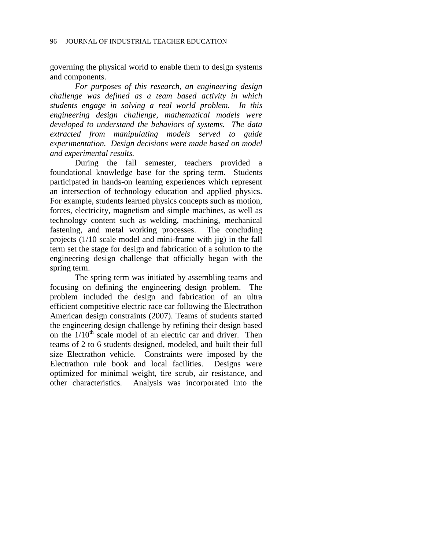governing the physical world to enable them to design systems and components.

*For purposes of this research, an engineering design challenge was defined as a team based activity in which students engage in solving a real world problem. In this engineering design challenge, mathematical models were developed to understand the behaviors of systems. The data extracted from manipulating models served to guide experimentation. Design decisions were made based on model and experimental results.*

During the fall semester, teachers provided a foundational knowledge base for the spring term. Students participated in hands-on learning experiences which represent an intersection of technology education and applied physics. For example, students learned physics concepts such as motion, forces, electricity, magnetism and simple machines, as well as technology content such as welding, machining, mechanical fastening, and metal working processes. The concluding projects (1/10 scale model and mini-frame with jig) in the fall term set the stage for design and fabrication of a solution to the engineering design challenge that officially began with the spring term.

The spring term was initiated by assembling teams and focusing on defining the engineering design problem. The problem included the design and fabrication of an ultra efficient competitive electric race car following the Electrathon American design constraints (2007). Teams of students started the engineering design challenge by refining their design based on the  $1/10^{th}$  scale model of an electric car and driver. Then teams of 2 to 6 students designed, modeled, and built their full size Electrathon vehicle. Constraints were imposed by the Electrathon rule book and local facilities. Designs were optimized for minimal weight, tire scrub, air resistance, and other characteristics. Analysis was incorporated into the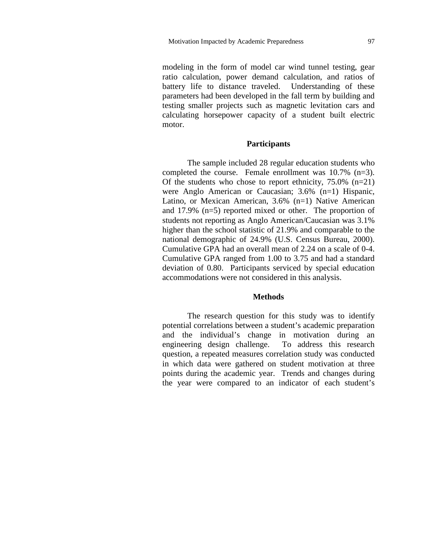modeling in the form of model car wind tunnel testing, gear ratio calculation, power demand calculation, and ratios of battery life to distance traveled. Understanding of these parameters had been developed in the fall term by building and testing smaller projects such as magnetic levitation cars and calculating horsepower capacity of a student built electric motor.

#### **Participants**

The sample included 28 regular education students who completed the course. Female enrollment was 10.7% (n=3). Of the students who chose to report ethnicity,  $75.0\%$  (n=21) were Anglo American or Caucasian; 3.6% (n=1) Hispanic, Latino, or Mexican American, 3.6% (n=1) Native American and 17.9% (n=5) reported mixed or other. The proportion of students not reporting as Anglo American/Caucasian was 3.1% higher than the school statistic of 21.9% and comparable to the national demographic of 24.9% (U.S. Census Bureau, 2000). Cumulative GPA had an overall mean of 2.24 on a scale of 0-4. Cumulative GPA ranged from 1.00 to 3.75 and had a standard deviation of 0.80. Participants serviced by special education accommodations were not considered in this analysis.

### **Methods**

The research question for this study was to identify potential correlations between a student's academic preparation and the individual's change in motivation during an engineering design challenge. To address this research question, a repeated measures correlation study was conducted in which data were gathered on student motivation at three points during the academic year. Trends and changes during the year were compared to an indicator of each student's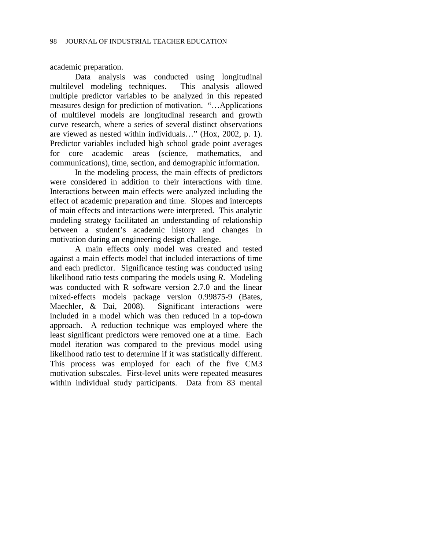academic preparation.

Data analysis was conducted using longitudinal multilevel modeling techniques. This analysis allowed multiple predictor variables to be analyzed in this repeated measures design for prediction of motivation. "…Applications of multilevel models are longitudinal research and growth curve research, where a series of several distinct observations are viewed as nested within individuals…" (Hox, 2002, p. 1). Predictor variables included high school grade point averages for core academic areas (science, mathematics, and communications), time, section, and demographic information.

In the modeling process, the main effects of predictors were considered in addition to their interactions with time. Interactions between main effects were analyzed including the effect of academic preparation and time. Slopes and intercepts of main effects and interactions were interpreted. This analytic modeling strategy facilitated an understanding of relationship between a student's academic history and changes in motivation during an engineering design challenge.

A main effects only model was created and tested against a main effects model that included interactions of time and each predictor. Significance testing was conducted using likelihood ratio tests comparing the models using *R*. Modeling was conducted with R software version 2.7.0 and the linear mixed-effects models package version 0.99875-9 (Bates, Maechler, & Dai, 2008). Significant interactions were included in a model which was then reduced in a top-down approach. A reduction technique was employed where the least significant predictors were removed one at a time. Each model iteration was compared to the previous model using likelihood ratio test to determine if it was statistically different. This process was employed for each of the five CM3 motivation subscales. First-level units were repeated measures within individual study participants. Data from 83 mental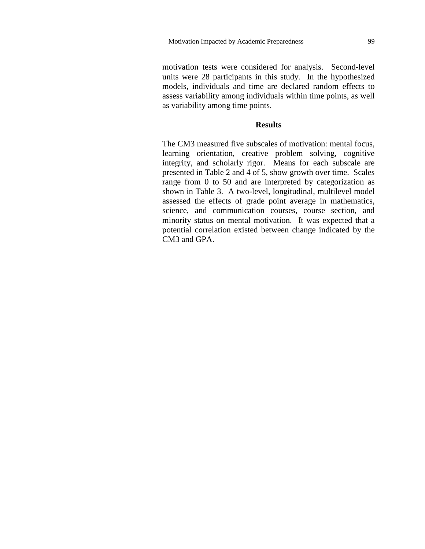motivation tests were considered for analysis. Second-level units were 28 participants in this study. In the hypothesized models, individuals and time are declared random effects to assess variability among individuals within time points, as well as variability among time points.

#### **Results**

The CM3 measured five subscales of motivation: mental focus, learning orientation, creative problem solving, cognitive integrity, and scholarly rigor. Means for each subscale are presented in Table 2 and 4 of 5, show growth over time. Scales range from 0 to 50 and are interpreted by categorization as shown in Table 3. A two-level, longitudinal, multilevel model assessed the effects of grade point average in mathematics, science, and communication courses, course section, and minority status on mental motivation. It was expected that a potential correlation existed between change indicated by the CM3 and GPA.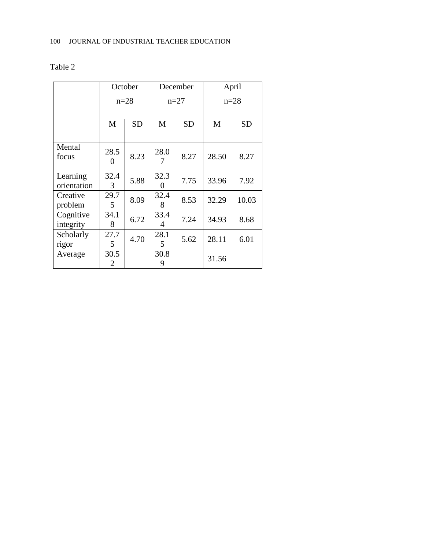|                         | October                   |           | December  |           | April  |           |
|-------------------------|---------------------------|-----------|-----------|-----------|--------|-----------|
|                         | $n=28$                    |           | $n=27$    |           | $n=28$ |           |
|                         | M                         | <b>SD</b> | M         | <b>SD</b> | M      | <b>SD</b> |
| Mental<br>focus         | 28.5<br>$\mathbf{\Omega}$ | 8.23      | 28.0      | 8.27      | 28.50  | 8.27      |
| Learning<br>orientation | 32.4<br>3                 | 5.88      | 32.3<br>0 | 7.75      | 33.96  | 7.92      |
| Creative<br>problem     | 29.7<br>5                 | 8.09      | 32.4<br>8 | 8.53      | 32.29  | 10.03     |
| Cognitive<br>integrity  | 34.1<br>8                 | 6.72      | 33.4<br>4 | 7.24      | 34.93  | 8.68      |
| Scholarly<br>rigor      | 27.7<br>5                 | 4.70      | 28.1<br>5 | 5.62      | 28.11  | 6.01      |
| Average                 | 30.5<br>2                 |           | 30.8<br>9 |           | 31.56  |           |

# Table 2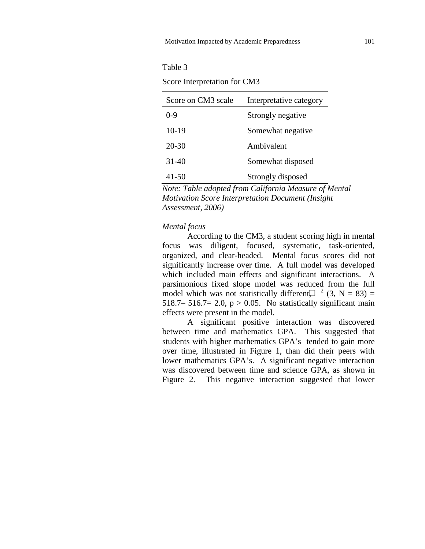#### Table 3

Score Interpretation for CM3

| Score on CM3 scale | Interpretative category |
|--------------------|-------------------------|
| $0 - 9$            | Strongly negative       |
| $10-19$            | Somewhat negative       |
| 20-30              | Ambivalent              |
| 31-40              | Somewhat disposed       |
| 41-50              | Strongly disposed       |

*Note: Table adopted from California Measure of Mental Motivation Score Interpretation Document (Insight Assessment, 2006)*

# *Mental focus*

According to the CM3, a student scoring high in mental focus was diligent, focused, systematic, task-oriented, organized, and clear-headed. Mental focus scores did not significantly increase over time. A full model was developed which included main effects and significant interactions. A parsimonious fixed slope model was reduced from the full model which was not statistically different,  $\left( \frac{1}{2}, N = 83 \right) =$ 518.7– 516.7= 2.0,  $p > 0.05$ . No statistically significant main effects were present in the model.

A significant positive interaction was discovered between time and mathematics GPA. This suggested that students with higher mathematics GPA's tended to gain more over time, illustrated in Figure 1, than did their peers with lower mathematics GPA's. A significant negative interaction was discovered between time and science GPA, as shown in Figure 2. This negative interaction suggested that lower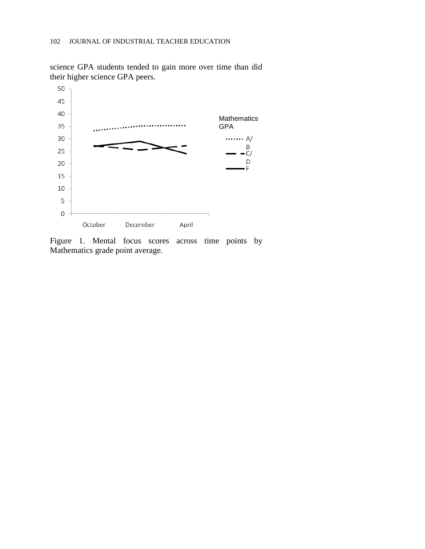

science GPA students tended to gain more over time than did their higher science GPA peers.

Figure 1. Mental focus scores across time points by Mathematics grade point average.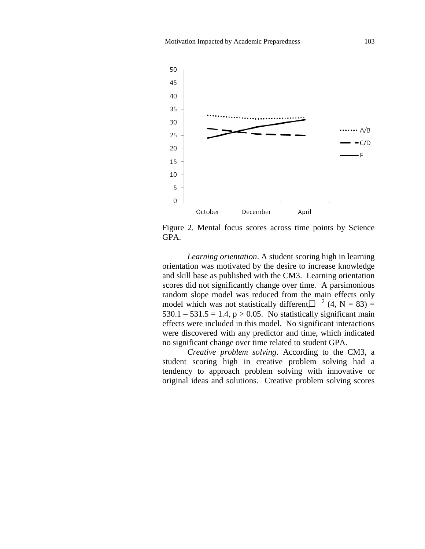

Figure 2. Mental focus scores across time points by Science GPA.

*Learning orientation*. A student scoring high in learning orientation was motivated by the desire to increase knowledge and skill base as published with the CM3. Learning orientation scores did not significantly change over time. A parsimonious random slope model was reduced from the main effects only model which was not statistically different $\Box$ <sup>2</sup> (4, N = 83) =  $530.1 - 531.5 = 1.4$ , p > 0.05. No statistically significant main effects were included in this model. No significant interactions were discovered with any predictor and time, which indicated no significant change over time related to student GPA.

*Creative problem solving*. According to the CM3, a student scoring high in creative problem solving had a tendency to approach problem solving with innovative or original ideas and solutions. Creative problem solving scores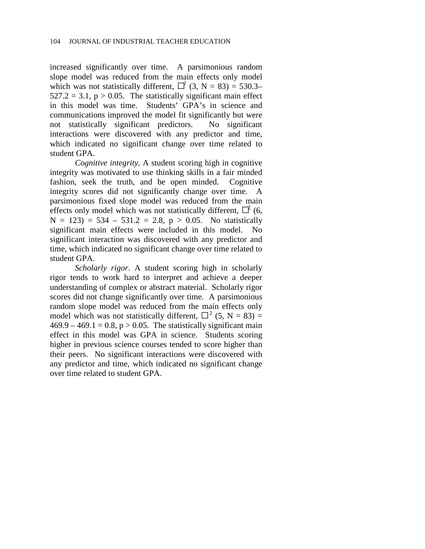increased significantly over time. A parsimonious random slope model was reduced from the main effects only model which was not statistically different,  $\Box^2$  (3, N = 83) = 530.3–  $527.2 = 3.1$ ,  $p > 0.05$ . The statistically significant main effect in this model was time. Students' GPA's in science and communications improved the model fit significantly but were not statistically significant predictors. No significant interactions were discovered with any predictor and time, which indicated no significant change over time related to student GPA.

*Cognitive integrity.* A student scoring high in cognitive integrity was motivated to use thinking skills in a fair minded fashion, seek the truth, and be open minded. Cognitive integrity scores did not significantly change over time. A parsimonious fixed slope model was reduced from the main effects only model which was not statistically different,  $\vec{\Gamma}$  (6,  $N = 123$ ) = 534 – 531.2 = 2.8, p > 0.05. No statistically significant main effects were included in this model. No significant interaction was discovered with any predictor and time, which indicated no significant change over time related to student GPA.

*Scholarly rigor*. A student scoring high in scholarly rigor tends to work hard to interpret and achieve a deeper understanding of complex or abstract material. Scholarly rigor scores did not change significantly over time. A parsimonious random slope model was reduced from the main effects only model which was not statistically different,  $\Box^2$  (5, N = 83) =  $469.9 - 469.1 = 0.8$ ,  $p > 0.05$ . The statistically significant main effect in this model was GPA in science. Students scoring higher in previous science courses tended to score higher than their peers. No significant interactions were discovered with any predictor and time, which indicated no significant change over time related to student GPA.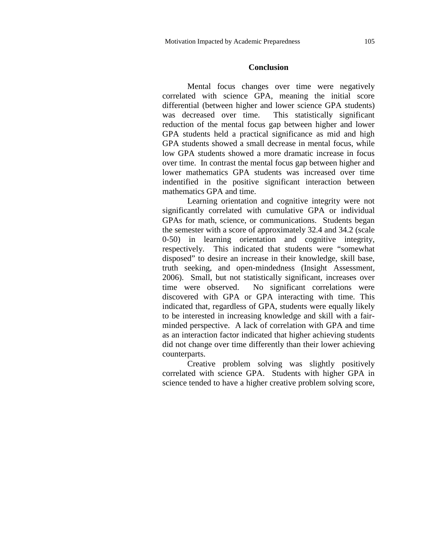#### **Conclusion**

Mental focus changes over time were negatively correlated with science GPA, meaning the initial score differential (between higher and lower science GPA students) was decreased over time. This statistically significant reduction of the mental focus gap between higher and lower GPA students held a practical significance as mid and high GPA students showed a small decrease in mental focus, while low GPA students showed a more dramatic increase in focus over time. In contrast the mental focus gap between higher and lower mathematics GPA students was increased over time indentified in the positive significant interaction between mathematics GPA and time.

Learning orientation and cognitive integrity were not significantly correlated with cumulative GPA or individual GPAs for math, science, or communications. Students began the semester with a score of approximately 32.4 and 34.2 (scale 0-50) in learning orientation and cognitive integrity, respectively. This indicated that students were "somewhat disposed" to desire an increase in their knowledge, skill base, truth seeking, and open-mindedness (Insight Assessment, 2006). Small, but not statistically significant, increases over time were observed. No significant correlations were discovered with GPA or GPA interacting with time. This indicated that, regardless of GPA, students were equally likely to be interested in increasing knowledge and skill with a fairminded perspective. A lack of correlation with GPA and time as an interaction factor indicated that higher achieving students did not change over time differently than their lower achieving counterparts.

Creative problem solving was slightly positively correlated with science GPA. Students with higher GPA in science tended to have a higher creative problem solving score,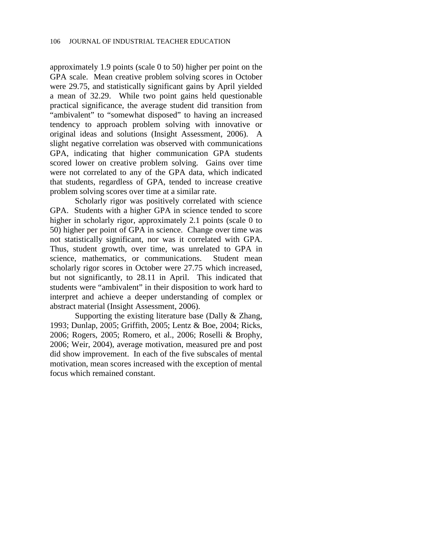approximately 1.9 points (scale 0 to 50) higher per point on the GPA scale. Mean creative problem solving scores in October were 29.75, and statistically significant gains by April yielded a mean of 32.29. While two point gains held questionable practical significance, the average student did transition from "ambivalent" to "somewhat disposed" to having an increased tendency to approach problem solving with innovative or original ideas and solutions (Insight Assessment, 2006). A slight negative correlation was observed with communications GPA, indicating that higher communication GPA students scored lower on creative problem solving. Gains over time were not correlated to any of the GPA data, which indicated that students, regardless of GPA, tended to increase creative problem solving scores over time at a similar rate.

Scholarly rigor was positively correlated with science GPA. Students with a higher GPA in science tended to score higher in scholarly rigor, approximately 2.1 points (scale 0 to 50) higher per point of GPA in science. Change over time was not statistically significant, nor was it correlated with GPA. Thus, student growth, over time, was unrelated to GPA in science, mathematics, or communications. Student mean scholarly rigor scores in October were 27.75 which increased, but not significantly, to 28.11 in April. This indicated that students were "ambivalent" in their disposition to work hard to interpret and achieve a deeper understanding of complex or abstract material (Insight Assessment, 2006).

Supporting the existing literature base (Dally & Zhang, 1993; Dunlap, 2005; Griffith, 2005; Lentz & Boe, 2004; Ricks, 2006; Rogers, 2005; Romero, et al., 2006; Roselli & Brophy, 2006; Weir, 2004), average motivation, measured pre and post did show improvement. In each of the five subscales of mental motivation, mean scores increased with the exception of mental focus which remained constant.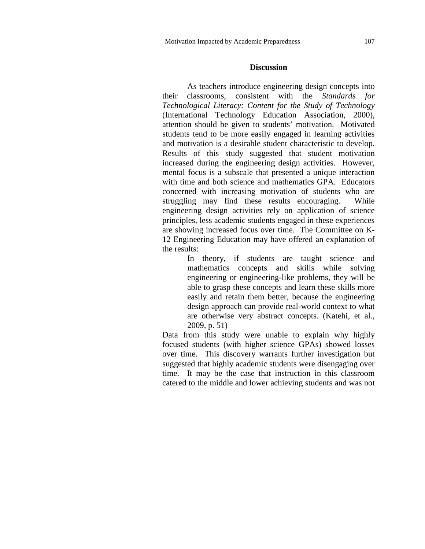#### **Discussion**

As teachers introduce engineering design concepts into their classrooms, consistent with the *Standards for Technological Literacy: Content for the Study of Technology* (International Technology Education Association, 2000), attention should be given to students' motivation. Motivated students tend to be more easily engaged in learning activities and motivation is a desirable student characteristic to develop. Results of this study suggested that student motivation increased during the engineering design activities. However, mental focus is a subscale that presented a unique interaction with time and both science and mathematics GPA. Educators concerned with increasing motivation of students who are struggling may find these results encouraging. While engineering design activities rely on application of science principles, less academic students engaged in these experiences are showing increased focus over time. The Committee on K-12 Engineering Education may have offered an explanation of the results:

> In theory, if students are taught science and mathematics concepts and skills while solving engineering or engineering-like problems, they will be able to grasp these concepts and learn these skills more easily and retain them better, because the engineering design approach can provide real-world context to what are otherwise very abstract concepts. (Katehi, et al., 2009, p. 51)

Data from this study were unable to explain why highly focused students (with higher science GPAs) showed losses over time. This discovery warrants further investigation but suggested that highly academic students were disengaging over time. It may be the case that instruction in this classroom catered to the middle and lower achieving students and was not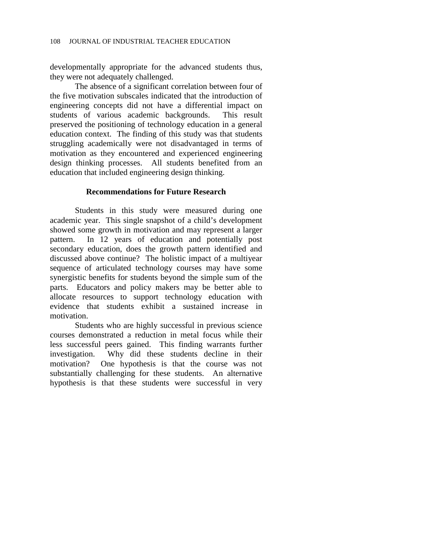developmentally appropriate for the advanced students thus, they were not adequately challenged.

The absence of a significant correlation between four of the five motivation subscales indicated that the introduction of engineering concepts did not have a differential impact on students of various academic backgrounds. This result preserved the positioning of technology education in a general education context. The finding of this study was that students struggling academically were not disadvantaged in terms of motivation as they encountered and experienced engineering design thinking processes. All students benefited from an education that included engineering design thinking.

# **Recommendations for Future Research**

Students in this study were measured during one academic year. This single snapshot of a child's development showed some growth in motivation and may represent a larger pattern. In 12 years of education and potentially post secondary education, does the growth pattern identified and discussed above continue? The holistic impact of a multiyear sequence of articulated technology courses may have some synergistic benefits for students beyond the simple sum of the parts. Educators and policy makers may be better able to allocate resources to support technology education with evidence that students exhibit a sustained increase in motivation.

Students who are highly successful in previous science courses demonstrated a reduction in metal focus while their less successful peers gained. This finding warrants further investigation. Why did these students decline in their motivation? One hypothesis is that the course was not substantially challenging for these students. An alternative hypothesis is that these students were successful in very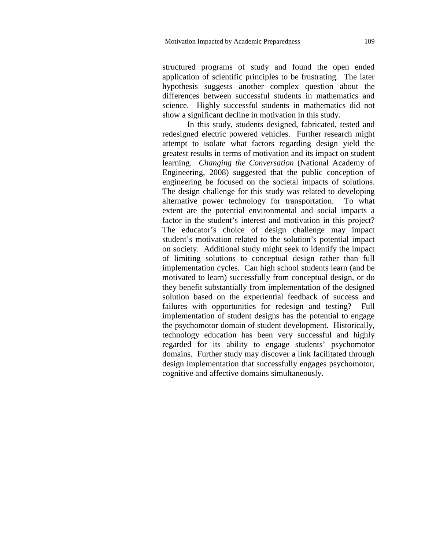structured programs of study and found the open ended application of scientific principles to be frustrating. The later hypothesis suggests another complex question about the differences between successful students in mathematics and science. Highly successful students in mathematics did not show a significant decline in motivation in this study.

In this study, students designed, fabricated, tested and redesigned electric powered vehicles. Further research might attempt to isolate what factors regarding design yield the greatest results in terms of motivation and its impact on student learning. *Changing the Conversation* (National Academy of Engineering, 2008) suggested that the public conception of engineering be focused on the societal impacts of solutions. The design challenge for this study was related to developing alternative power technology for transportation. To what extent are the potential environmental and social impacts a factor in the student's interest and motivation in this project? The educator's choice of design challenge may impact student's motivation related to the solution's potential impact on society. Additional study might seek to identify the impact of limiting solutions to conceptual design rather than full implementation cycles. Can high school students learn (and be motivated to learn) successfully from conceptual design, or do they benefit substantially from implementation of the designed solution based on the experiential feedback of success and failures with opportunities for redesign and testing? Full implementation of student designs has the potential to engage the psychomotor domain of student development. Historically, technology education has been very successful and highly regarded for its ability to engage students' psychomotor domains. Further study may discover a link facilitated through design implementation that successfully engages psychomotor, cognitive and affective domains simultaneously.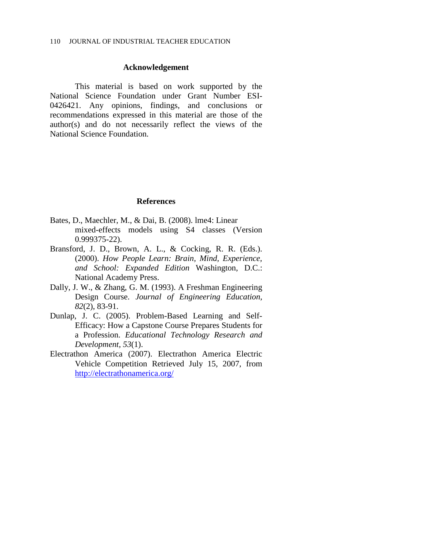#### **Acknowledgement**

This material is based on work supported by the National Science Foundation under Grant Number ESI-0426421. Any opinions, findings, and conclusions or recommendations expressed in this material are those of the author(s) and do not necessarily reflect the views of the National Science Foundation.

#### **References**

- Bates, D., Maechler, M., & Dai, B. (2008). lme4: Linear mixed-effects models using S4 classes (Version 0.999375-22).
- Bransford, J. D., Brown, A. L., & Cocking, R. R. (Eds.). (2000). *How People Learn: Brain, Mind, Experience, and School: Expanded Edition* Washington, D.C.: National Academy Press.
- Dally, J. W., & Zhang, G. M. (1993). A Freshman Engineering Design Course. *Journal of Engineering Education, 82*(2), 83-91.
- Dunlap, J. C. (2005). Problem-Based Learning and Self-Efficacy: How a Capstone Course Prepares Students for a Profession. *Educational Technology Research and Development, 53*(1).
- Electrathon America (2007). Electrathon America Electric Vehicle Competition Retrieved July 15, 2007, from <http://electrathonamerica.org/>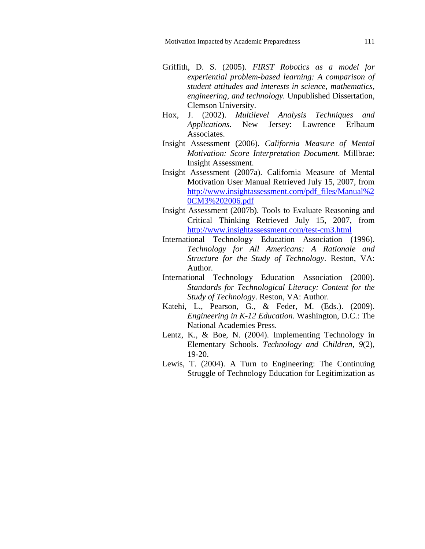- Griffith, D. S. (2005). *FIRST Robotics as a model for experiential problem-based learning: A comparison of student attitudes and interests in science, mathematics, engineering, and technology.* Unpublished Dissertation, Clemson University.
- Hox, J. (2002). *Multilevel Analysis Techniques and Applications*. New Jersey: Lawrence Erlbaum Associates.
- Insight Assessment (2006). *California Measure of Mental Motivation: Score Interpretation Document*. Millbrae: Insight Assessment.
- Insight Assessment (2007a). California Measure of Mental Motivation User Manual Retrieved July 15, 2007, from [http://www.insightassessment.com/pdf\\_files/Manual%2](http://www.insightassessment.com/pdf_files/Manual%20CM3%202006.pdf) [0CM3%202006.pdf](http://www.insightassessment.com/pdf_files/Manual%20CM3%202006.pdf)
- Insight Assessment (2007b). Tools to Evaluate Reasoning and Critical Thinking Retrieved July 15, 2007, from <http://www.insightassessment.com/test-cm3.html>
- International Technology Education Association (1996). *Technology for All Americans: A Rationale and Structure for the Study of Technology*. Reston, VA: Author.
- International Technology Education Association (2000). *Standards for Technological Literacy: Content for the Study of Technology*. Reston, VA: Author.
- Katehi, L., Pearson, G., & Feder, M. (Eds.). (2009). *Engineering in K-12 Education*. Washington, D.C.: The National Academies Press.
- Lentz, K., & Boe, N. (2004). Implementing Technology in Elementary Schools. *Technology and Children, 9*(2), 19-20.
- Lewis, T. (2004). A Turn to Engineering: The Continuing Struggle of Technology Education for Legitimization as